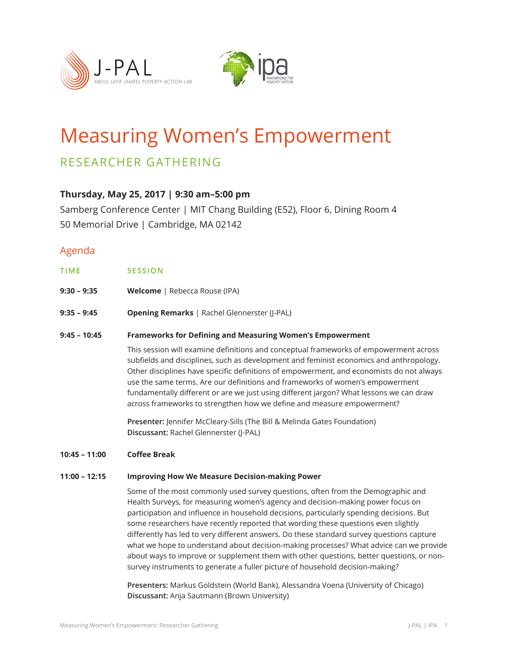



# Measuring Women's Empowerment

# RESEARCHER GATHERING

### **Thursday, May 25, 2017 | 9:30 am–5:00 pm**

Samberg Conference Center | MIT Chang Building (E52), Floor 6, Dining Room 4 50 Memorial Drive | Cambridge, MA 02142

## Agenda

| TIME | <b>SESSION</b> |  |  |
|------|----------------|--|--|
|      |                |  |  |

- **9:30 9:35 Welcome** | Rebecca Rouse (IPA)
- **9:35 9:45 Opening Remarks** | Rachel Glennerster (J-PAL)

#### **9:45 – 10:45 Frameworks for Defining and Measuring Women's Empowerment**

This session will examine definitions and conceptual frameworks of empowerment across subfields and disciplines, such as development and feminist economics and anthropology. Other disciplines have specific definitions of empowerment, and economists do not always use the same terms. Are our definitions and frameworks of women's empowerment fundamentally different or are we just using different jargon? What lessons we can draw across frameworks to strengthen how we define and measure empowerment?

**Presenter:** Jennifer McCleary-Sills (The Bill & Melinda Gates Foundation) **Discussant:** Rachel Glennerster (J-PAL)

**10:45 – 11:00 Coffee Break**

#### **11:00 – 12:15 Improving How We Measure Decision-making Power**

Some of the most commonly used survey questions, often from the Demographic and Health Surveys, for measuring women's agency and decision-making power focus on participation and influence in household decisions, particularly spending decisions. But some researchers have recently reported that wording these questions even slightly differently has led to very different answers. Do these standard survey questions capture what we hope to understand about decision-making processes? What advice can we provide about ways to improve or supplement them with other questions, better questions, or nonsurvey instruments to generate a fuller picture of household decision-making?

**Presenters:** Markus Goldstein (World Bank), Alessandra Voena (University of Chicago) **Discussant:** Anja Sautmann (Brown University)